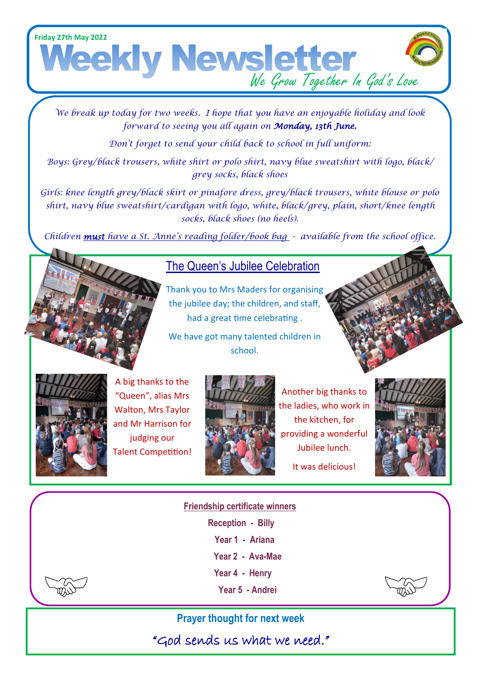# **Friday 27th May 2022** Rewselt We Grow Together In God's Love

*We break up today for two weeks. I hope that you have an enjoyable holiday and look forward to seeing you all again on Monday, 13th June.*

*Don't forget to send your child back to school in full uniform:*

*Boys: Grey/black trousers, white shirt or polo shirt, navy blue sweatshirt with logo, black/ grey socks, black shoes*

*Girls: knee length grey/black skirt or pinafore dress, grey/black trousers, white blouse or polo shirt, navy blue sweatshirt/cardigan with logo, white, black/grey, plain, short/knee length socks, black shoes (no heels).*

*Children must have a St. Anne's reading folder/book bag - available from the school office.*



# The Queen's Jubilee Celebration

Thank you to Mrs Maders for organising the jubilee day; the children, and staff, had a great time celebrating .

We have got many talented children in school.



A big thanks to the "Queen", alias Mrs Walton, Mrs Taylor and Mr Harrison for judging our Talent Competition!



Another big thanks to the ladies, who work in the kitchen, for providing a wonderful Jubilee lunch. It was delicious!



# **Friendship certificate winners**

- **Reception Billy**
	- **Year 1 Ariana**
	- **Year 2 Ava-Mae**
	- **Year 4 Henry**
	- **Year 5 - Andrei**





**Prayer thought for next week**

"God sends us what we need."